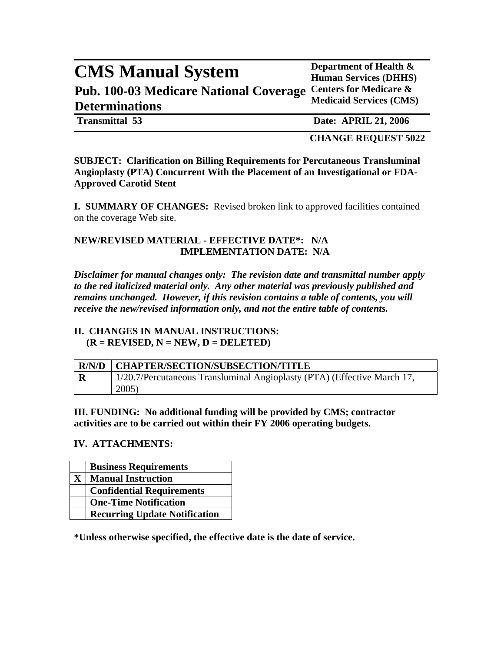# **CMS Manual System** Department of Health &

Pub. 100-03 Medicare National Coverage Centers for Medicare & **Determinations** 

**Human Services (DHHS) Medicaid Services (CMS)** 

**Transmittal 53 Date: APRIL 21, 2006** 

**CHANGE REQUEST 5022** 

**SUBJECT: Clarification on Billing Requirements for Percutaneous Transluminal Angioplasty (PTA) Concurrent With the Placement of an Investigational or FDA-Approved Carotid Stent**

**I. SUMMARY OF CHANGES:** Revised broken link to approved facilities contained on the coverage Web site.

## **NEW/REVISED MATERIAL - EFFECTIVE DATE\*: N/A IMPLEMENTATION DATE: N/A**

*Disclaimer for manual changes only: The revision date and transmittal number apply to the red italicized material only. Any other material was previously published and remains unchanged. However, if this revision contains a table of contents, you will receive the new/revised information only, and not the entire table of contents.* 

## **II. CHANGES IN MANUAL INSTRUCTIONS:**   $(R = REVISED, N = NEW, D = DELETED)$

|   | <b>R/N/D   CHAPTER/SECTION/SUBSECTION/TITLE</b>                         |
|---|-------------------------------------------------------------------------|
| R | 1/20.7/Percutaneous Transluminal Angioplasty (PTA) (Effective March 17, |
|   | 2005                                                                    |

**III. FUNDING: No additional funding will be provided by CMS; contractor activities are to be carried out within their FY 2006 operating budgets.** 

## **IV. ATTACHMENTS:**

|              | <b>Business Requirements</b>         |
|--------------|--------------------------------------|
| $\mathbf{X}$ | <b>Manual Instruction</b>            |
|              | <b>Confidential Requirements</b>     |
|              | <b>One-Time Notification</b>         |
|              | <b>Recurring Update Notification</b> |

**\*Unless otherwise specified, the effective date is the date of service.**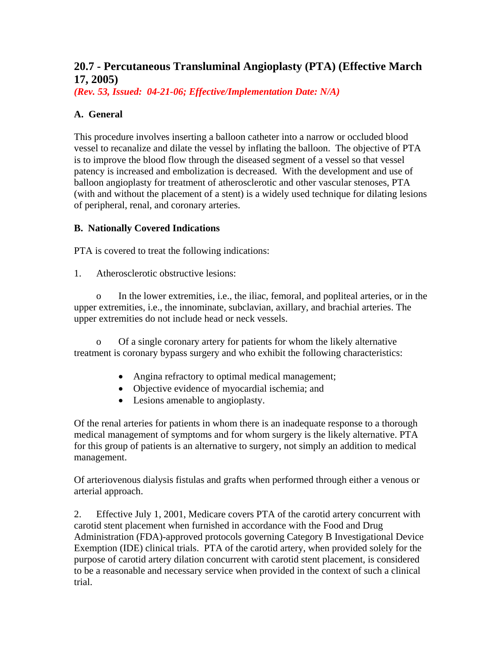## **20.7 - Percutaneous Transluminal Angioplasty (PTA) (Effective March 17, 2005)**

*(Rev. 53, Issued: 04-21-06; Effective/Implementation Date: N/A)* 

## **A. General**

This procedure involves inserting a balloon catheter into a narrow or occluded blood vessel to recanalize and dilate the vessel by inflating the balloon. The objective of PTA is to improve the blood flow through the diseased segment of a vessel so that vessel patency is increased and embolization is decreased. With the development and use of balloon angioplasty for treatment of atherosclerotic and other vascular stenoses, PTA (with and without the placement of a stent) is a widely used technique for dilating lesions of peripheral, renal, and coronary arteries.

## **B. Nationally Covered Indications**

PTA is covered to treat the following indications:

1. Atherosclerotic obstructive lesions:

 o In the lower extremities, i.e., the iliac, femoral, and popliteal arteries, or in the upper extremities, i.e., the innominate, subclavian, axillary, and brachial arteries. The upper extremities do not include head or neck vessels.

 o Of a single coronary artery for patients for whom the likely alternative treatment is coronary bypass surgery and who exhibit the following characteristics:

- Angina refractory to optimal medical management;
- Objective evidence of myocardial ischemia; and
- Lesions amenable to angioplasty.

Of the renal arteries for patients in whom there is an inadequate response to a thorough medical management of symptoms and for whom surgery is the likely alternative. PTA for this group of patients is an alternative to surgery, not simply an addition to medical management.

Of arteriovenous dialysis fistulas and grafts when performed through either a venous or arterial approach.

2. Effective July 1, 2001, Medicare covers PTA of the carotid artery concurrent with carotid stent placement when furnished in accordance with the Food and Drug Administration (FDA)-approved protocols governing Category B Investigational Device Exemption (IDE) clinical trials. PTA of the carotid artery, when provided solely for the purpose of carotid artery dilation concurrent with carotid stent placement, is considered to be a reasonable and necessary service when provided in the context of such a clinical trial.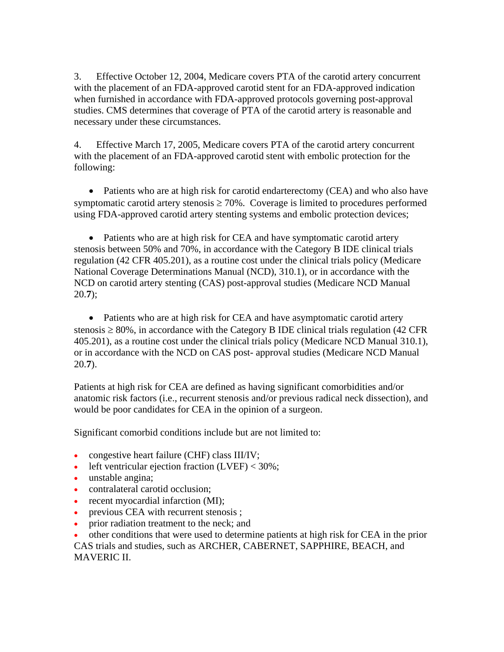3. Effective October 12, 2004, Medicare covers PTA of the carotid artery concurrent with the placement of an FDA-approved carotid stent for an FDA-approved indication when furnished in accordance with FDA-approved protocols governing post-approval studies. CMS determines that coverage of PTA of the carotid artery is reasonable and necessary under these circumstances.

4. Effective March 17, 2005, Medicare covers PTA of the carotid artery concurrent with the placement of an FDA-approved carotid stent with embolic protection for the following:

• Patients who are at high risk for carotid endarterectomy (CEA) and who also have symptomatic carotid artery stenosis  $\geq$  70%. Coverage is limited to procedures performed using FDA-approved carotid artery stenting systems and embolic protection devices;

• Patients who are at high risk for CEA and have symptomatic carotid artery stenosis between 50% and 70%, in accordance with the Category B IDE clinical trials regulation (42 CFR 405.201), as a routine cost under the clinical trials policy (Medicare National Coverage Determinations Manual (NCD), 310.1), or in accordance with the NCD on carotid artery stenting (CAS) post-approval studies (Medicare NCD Manual 20.**7**);

• Patients who are at high risk for CEA and have asymptomatic carotid artery stenosis  $\geq 80\%$ , in accordance with the Category B IDE clinical trials regulation (42 CFR 405.201), as a routine cost under the clinical trials policy (Medicare NCD Manual 310.1), or in accordance with the NCD on CAS post- approval studies (Medicare NCD Manual 20.**7**).

Patients at high risk for CEA are defined as having significant comorbidities and/or anatomic risk factors (i.e., recurrent stenosis and/or previous radical neck dissection), and would be poor candidates for CEA in the opinion of a surgeon.

Significant comorbid conditions include but are not limited to:

- congestive heart failure (CHF) class III/IV;
- left ventricular ejection fraction  $(LVEF) < 30\%$ ;
- unstable angina:
- contralateral carotid occlusion;
- recent myocardial infarction (MI);
- previous CEA with recurrent stenosis ;
- prior radiation treatment to the neck; and

• other conditions that were used to determine patients at high risk for CEA in the prior CAS trials and studies, such as ARCHER, CABERNET, SAPPHIRE, BEACH, and MAVERIC II.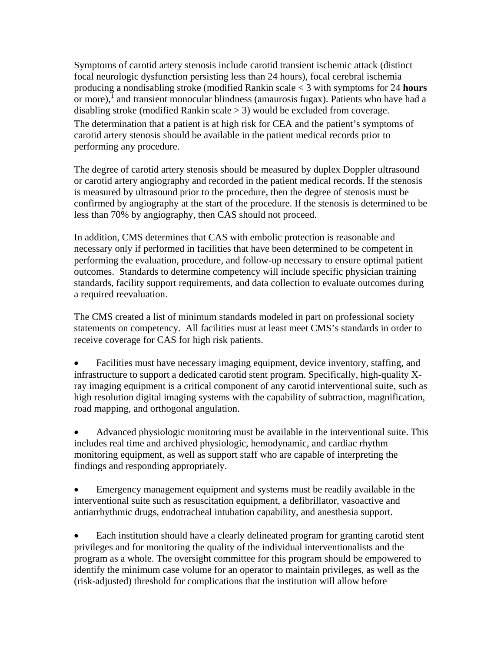Symptoms of carotid artery stenosis include carotid transient ischemic attack (distinct focal neurologic dysfunction persisting less than 24 hours), focal cerebral ischemia producing a nondisabling stroke (modified Rankin scale < 3 with symptoms for 24 **hours**  or more), $\frac{1}{2}$  and transient monocular blindness (amaurosis fugax). Patients who have had a disabling stroke (modified Rankin scale  $>$  3) would be excluded from coverage. The determination that a patient is at high risk for CEA and the patient's symptoms of carotid artery stenosis should be available in the patient medical records prior to performing any procedure.

The degree of carotid artery stenosis should be measured by duplex Doppler ultrasound or carotid artery angiography and recorded in the patient medical records. If the stenosis is measured by ultrasound prior to the procedure, then the degree of stenosis must be confirmed by angiography at the start of the procedure. If the stenosis is determined to be less than 70% by angiography, then CAS should not proceed.

In addition, CMS determines that CAS with embolic protection is reasonable and necessary only if performed in facilities that have been determined to be competent in performing the evaluation, procedure, and follow-up necessary to ensure optimal patient outcomes. Standards to determine competency will include specific physician training standards, facility support requirements, and data collection to evaluate outcomes during a required reevaluation.

The CMS created a list of minimum standards modeled in part on professional society statements on competency. All facilities must at least meet CMS's standards in order to receive coverage for CAS for high risk patients.

• Facilities must have necessary imaging equipment, device inventory, staffing, and infrastructure to support a dedicated carotid stent program. Specifically, high-quality Xray imaging equipment is a critical component of any carotid interventional suite, such as high resolution digital imaging systems with the capability of subtraction, magnification, road mapping, and orthogonal angulation.

• Advanced physiologic monitoring must be available in the interventional suite. This includes real time and archived physiologic, hemodynamic, and cardiac rhythm monitoring equipment, as well as support staff who are capable of interpreting the findings and responding appropriately.

• Emergency management equipment and systems must be readily available in the interventional suite such as resuscitation equipment, a defibrillator, vasoactive and antiarrhythmic drugs, endotracheal intubation capability, and anesthesia support.

• Each institution should have a clearly delineated program for granting carotid stent privileges and for monitoring the quality of the individual interventionalists and the program as a whole. The oversight committee for this program should be empowered to identify the minimum case volume for an operator to maintain privileges, as well as the (risk-adjusted) threshold for complications that the institution will allow before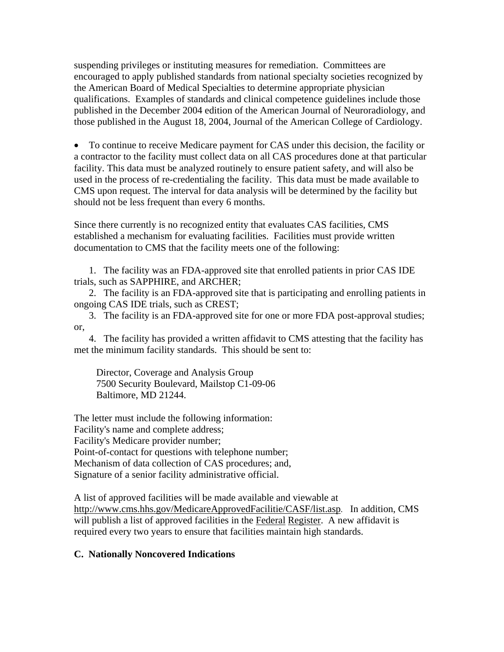suspending privileges or instituting measures for remediation. Committees are encouraged to apply published standards from national specialty societies recognized by the American Board of Medical Specialties to determine appropriate physician qualifications. Examples of standards and clinical competence guidelines include those published in the December 2004 edition of the American Journal of Neuroradiology, and those published in the August 18, 2004, Journal of the American College of Cardiology.

• To continue to receive Medicare payment for CAS under this decision, the facility or a contractor to the facility must collect data on all CAS procedures done at that particular facility. This data must be analyzed routinely to ensure patient safety, and will also be used in the process of re-credentialing the facility. This data must be made available to CMS upon request. The interval for data analysis will be determined by the facility but should not be less frequent than every 6 months.

Since there currently is no recognized entity that evaluates CAS facilities, CMS established a mechanism for evaluating facilities. Facilities must provide written documentation to CMS that the facility meets one of the following:

 1. The facility was an FDA-approved site that enrolled patients in prior CAS IDE trials, such as SAPPHIRE, and ARCHER;

 2. The facility is an FDA-approved site that is participating and enrolling patients in ongoing CAS IDE trials, such as CREST;

 3. The facility is an FDA-approved site for one or more FDA post-approval studies; or,

 4. The facility has provided a written affidavit to CMS attesting that the facility has met the minimum facility standards. This should be sent to:

Director, Coverage and Analysis Group 7500 Security Boulevard, Mailstop C1-09-06 Baltimore, MD 21244.

The letter must include the following information: Facility's name and complete address; Facility's Medicare provider number; Point-of-contact for questions with telephone number; Mechanism of data collection of CAS procedures; and, Signature of a senior facility administrative official.

A list of approved facilities will be made available and viewable at <http://www.cms.hhs.gov/MedicareApprovedFacilitie/CASF/list.asp>. In addition, CMS will publish a list of approved facilities in the Federal Register. A new affidavit is required every two years to ensure that facilities maintain high standards.

#### **C. Nationally Noncovered Indications**